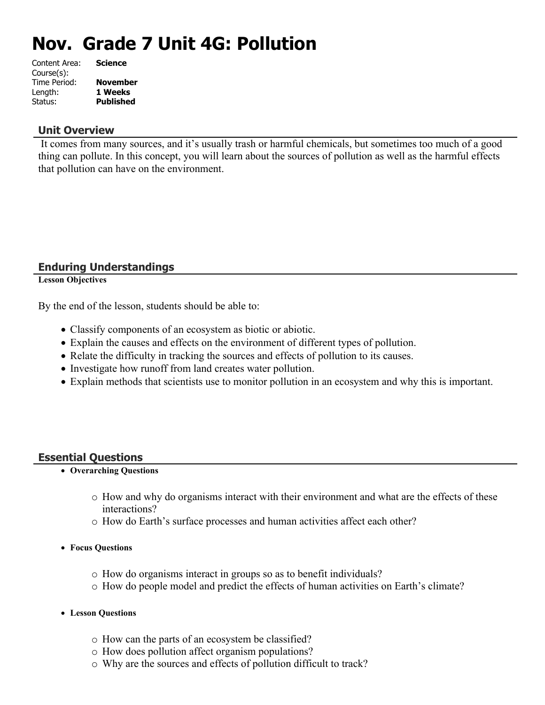# **Nov. Grade 7 Unit 4G: Pollution**

| <b>Science</b>   |
|------------------|
|                  |
| <b>November</b>  |
| 1 Weeks          |
| <b>Published</b> |
|                  |

#### **Unit Overview**

 It comes from many sources, and it's usually trash or harmful chemicals, but sometimes too much of a good thing can pollute. In this concept, you will learn about the sources of pollution as well as the harmful effects that pollution can have on the environment.

### **Enduring Understandings**

**Lesson Objectives**

By the end of the lesson, students should be able to:

- Classify components of an ecosystem as biotic or abiotic.
- Explain the causes and effects on the environment of different types of pollution.
- Relate the difficulty in tracking the sources and effects of pollution to its causes.
- Investigate how runoff from land creates water pollution.
- Explain methods that scientists use to monitor pollution in an ecosystem and why this is important.

### **Essential Questions**

- **Overarching Questions**
	- o How and why do organisms interact with their environment and what are the effects of these interactions?
	- o How do Earth's surface processes and human activities affect each other?
- **Focus Questions**
	- o How do organisms interact in groups so as to benefit individuals?
	- o How do people model and predict the effects of human activities on Earth's climate?
- **Lesson Questions**
	- o How can the parts of an ecosystem be classified?
	- o How does pollution affect organism populations?
	- o Why are the sources and effects of pollution difficult to track?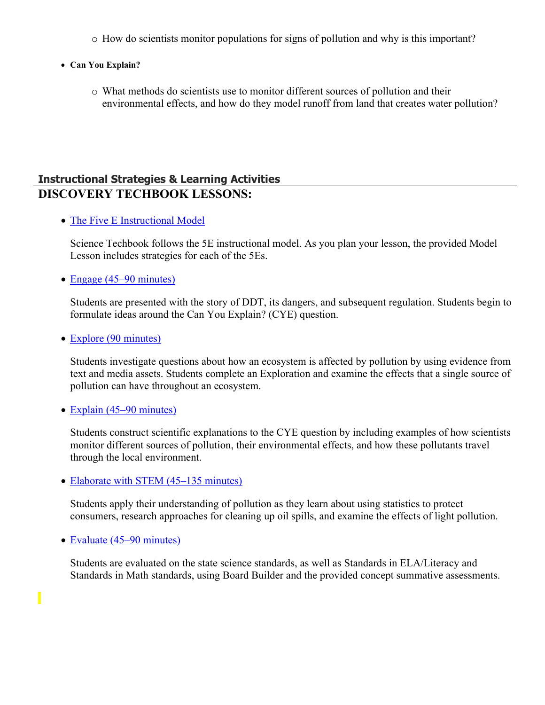- o How do scientists monitor populations for signs of pollution and why is this important?
- **Can You Explain?**
	- o What methods do scientists use to monitor different sources of pollution and their environmental effects, and how do they model runoff from land that creates water pollution?

## **Instructional Strategies & Learning Activities DISCOVERY TECHBOOK LESSONS:**

• [The Five E Instructional Model](https://app.discoveryeducation.com/learn/techbook/units/e82b02d7-bf5b-4915-ac4e-15a18765a628/concepts/41d9be71-c1d2-4bb5-a1a5-bfe1fc0b48d3/lesson/sections/95250115-15cb-4f39-856e-d306d32a9bd6#c4ecb961-38a3-426c-a5c8-9bca43fc27dc)

Science Techbook follows the 5E instructional model. As you plan your lesson, the provided Model Lesson includes strategies for each of the 5Es.

• [Engage \(45–90 minutes\)](https://app.discoveryeducation.com/learn/techbook/units/e82b02d7-bf5b-4915-ac4e-15a18765a628/concepts/41d9be71-c1d2-4bb5-a1a5-bfe1fc0b48d3/lesson/sections/95250115-15cb-4f39-856e-d306d32a9bd6#68df2bfe-e472-47b1-812d-6030602bae34)

Students are presented with the story of DDT, its dangers, and subsequent regulation. Students begin to formulate ideas around the Can You Explain? (CYE) question.

• [Explore \(90 minutes\)](https://app.discoveryeducation.com/learn/techbook/units/e82b02d7-bf5b-4915-ac4e-15a18765a628/concepts/41d9be71-c1d2-4bb5-a1a5-bfe1fc0b48d3/lesson/sections/95250115-15cb-4f39-856e-d306d32a9bd6#045ddb8e-4bba-44b4-a616-a912d6bef7e7)

Students investigate questions about how an ecosystem is affected by pollution by using evidence from text and media assets. Students complete an Exploration and examine the effects that a single source of pollution can have throughout an ecosystem.

• [Explain \(45–90 minutes\)](https://app.discoveryeducation.com/learn/techbook/units/e82b02d7-bf5b-4915-ac4e-15a18765a628/concepts/41d9be71-c1d2-4bb5-a1a5-bfe1fc0b48d3/lesson/sections/95250115-15cb-4f39-856e-d306d32a9bd6#60dd13c7-eba9-4104-bc0b-b6e86bfcbb4f)

Students construct scientific explanations to the CYE question by including examples of how scientists monitor different sources of pollution, their environmental effects, and how these pollutants travel through the local environment.

• [Elaborate with STEM \(45–135 minutes\)](https://app.discoveryeducation.com/learn/techbook/units/e82b02d7-bf5b-4915-ac4e-15a18765a628/concepts/41d9be71-c1d2-4bb5-a1a5-bfe1fc0b48d3/lesson/sections/95250115-15cb-4f39-856e-d306d32a9bd6#abcdd176-03c0-49ec-9601-ddd02f8e34fa)

Students apply their understanding of pollution as they learn about using statistics to protect consumers, research approaches for cleaning up oil spills, and examine the effects of light pollution.

• [Evaluate \(45–90 minutes\)](https://app.discoveryeducation.com/learn/techbook/units/e82b02d7-bf5b-4915-ac4e-15a18765a628/concepts/41d9be71-c1d2-4bb5-a1a5-bfe1fc0b48d3/lesson/sections/95250115-15cb-4f39-856e-d306d32a9bd6#3da08f3f-dda5-4a78-8789-9d152b6ba2ee)

Π

Students are evaluated on the state science standards, as well as Standards in ELA/Literacy and Standards in Math standards, using Board Builder and the provided concept summative assessments.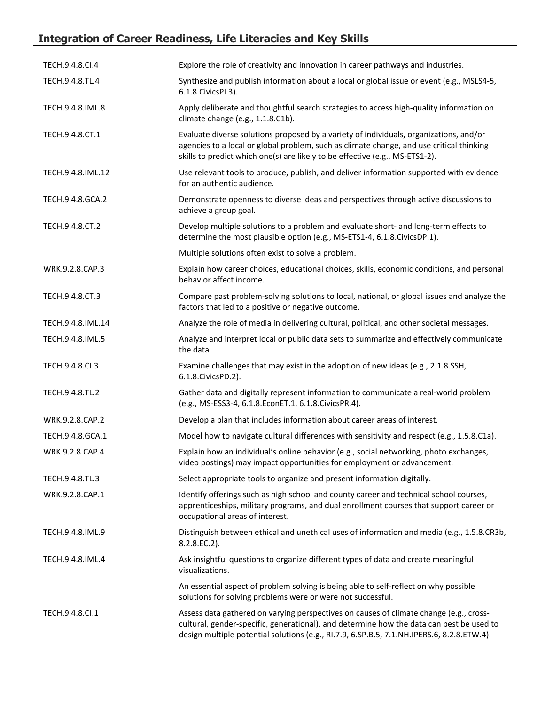# **Integration of Career Readiness, Life Literacies and Key Skills**

| TECH.9.4.8.CI.4   | Explore the role of creativity and innovation in career pathways and industries.                                                                                                                                                                                                 |
|-------------------|----------------------------------------------------------------------------------------------------------------------------------------------------------------------------------------------------------------------------------------------------------------------------------|
| TECH.9.4.8.TL.4   | Synthesize and publish information about a local or global issue or event (e.g., MSLS4-5,<br>6.1.8. Civics PI.3).                                                                                                                                                                |
| TECH.9.4.8.IML.8  | Apply deliberate and thoughtful search strategies to access high-quality information on<br>climate change (e.g., 1.1.8.C1b).                                                                                                                                                     |
| TECH.9.4.8.CT.1   | Evaluate diverse solutions proposed by a variety of individuals, organizations, and/or<br>agencies to a local or global problem, such as climate change, and use critical thinking<br>skills to predict which one(s) are likely to be effective (e.g., MS-ETS1-2).               |
| TECH.9.4.8.IML.12 | Use relevant tools to produce, publish, and deliver information supported with evidence<br>for an authentic audience.                                                                                                                                                            |
| TECH.9.4.8.GCA.2  | Demonstrate openness to diverse ideas and perspectives through active discussions to<br>achieve a group goal.                                                                                                                                                                    |
| TECH.9.4.8.CT.2   | Develop multiple solutions to a problem and evaluate short- and long-term effects to<br>determine the most plausible option (e.g., MS-ETS1-4, 6.1.8.CivicsDP.1).                                                                                                                 |
|                   | Multiple solutions often exist to solve a problem.                                                                                                                                                                                                                               |
| WRK.9.2.8.CAP.3   | Explain how career choices, educational choices, skills, economic conditions, and personal<br>behavior affect income.                                                                                                                                                            |
| TECH.9.4.8.CT.3   | Compare past problem-solving solutions to local, national, or global issues and analyze the<br>factors that led to a positive or negative outcome.                                                                                                                               |
| TECH.9.4.8.IML.14 | Analyze the role of media in delivering cultural, political, and other societal messages.                                                                                                                                                                                        |
| TECH.9.4.8.IML.5  | Analyze and interpret local or public data sets to summarize and effectively communicate<br>the data.                                                                                                                                                                            |
| TECH.9.4.8.Cl.3   | Examine challenges that may exist in the adoption of new ideas (e.g., 2.1.8.SSH,<br>6.1.8. Civics PD. 2).                                                                                                                                                                        |
| TECH.9.4.8.TL.2   | Gather data and digitally represent information to communicate a real-world problem<br>(e.g., MS-ESS3-4, 6.1.8.EconET.1, 6.1.8.CivicsPR.4).                                                                                                                                      |
| WRK.9.2.8.CAP.2   | Develop a plan that includes information about career areas of interest.                                                                                                                                                                                                         |
| TECH.9.4.8.GCA.1  | Model how to navigate cultural differences with sensitivity and respect (e.g., 1.5.8.C1a).                                                                                                                                                                                       |
| WRK.9.2.8.CAP.4   | Explain how an individual's online behavior (e.g., social networking, photo exchanges,<br>video postings) may impact opportunities for employment or advancement.                                                                                                                |
| TECH.9.4.8.TL.3   | Select appropriate tools to organize and present information digitally.                                                                                                                                                                                                          |
| WRK.9.2.8.CAP.1   | Identify offerings such as high school and county career and technical school courses,<br>apprenticeships, military programs, and dual enrollment courses that support career or<br>occupational areas of interest.                                                              |
| TECH.9.4.8.IML.9  | Distinguish between ethical and unethical uses of information and media (e.g., 1.5.8.CR3b,<br>8.2.8.EC.2).                                                                                                                                                                       |
| TECH.9.4.8.IML.4  | Ask insightful questions to organize different types of data and create meaningful<br>visualizations.                                                                                                                                                                            |
|                   | An essential aspect of problem solving is being able to self-reflect on why possible<br>solutions for solving problems were or were not successful.                                                                                                                              |
| TECH.9.4.8.Cl.1   | Assess data gathered on varying perspectives on causes of climate change (e.g., cross-<br>cultural, gender-specific, generational), and determine how the data can best be used to<br>design multiple potential solutions (e.g., RI.7.9, 6.SP.B.5, 7.1.NH.IPERS.6, 8.2.8.ETW.4). |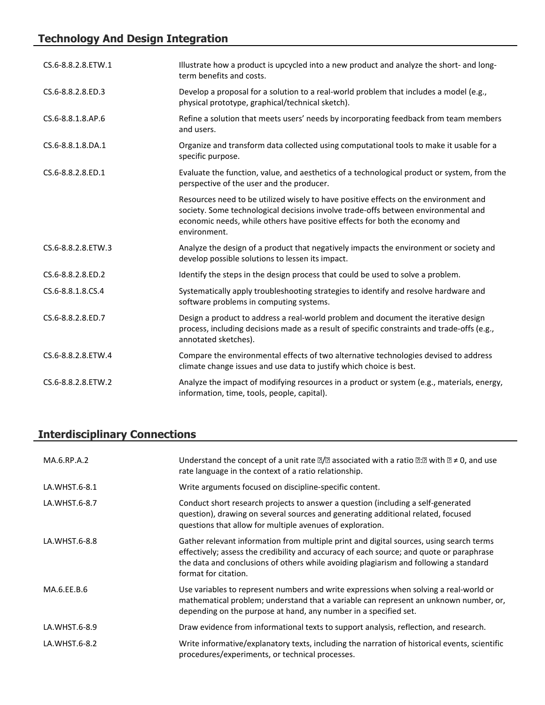# **Technology And Design Integration**

| CS.6-8.8.2.8.ETW.1 | Illustrate how a product is upcycled into a new product and analyze the short- and long-<br>term benefits and costs.                                                                                                                                                      |
|--------------------|---------------------------------------------------------------------------------------------------------------------------------------------------------------------------------------------------------------------------------------------------------------------------|
| CS.6-8.8.2.8.ED.3  | Develop a proposal for a solution to a real-world problem that includes a model (e.g.,<br>physical prototype, graphical/technical sketch).                                                                                                                                |
| CS.6-8.8.1.8.AP.6  | Refine a solution that meets users' needs by incorporating feedback from team members<br>and users.                                                                                                                                                                       |
| CS.6-8.8.1.8.DA.1  | Organize and transform data collected using computational tools to make it usable for a<br>specific purpose.                                                                                                                                                              |
| CS.6-8.8.2.8.ED.1  | Evaluate the function, value, and aesthetics of a technological product or system, from the<br>perspective of the user and the producer.                                                                                                                                  |
|                    | Resources need to be utilized wisely to have positive effects on the environment and<br>society. Some technological decisions involve trade-offs between environmental and<br>economic needs, while others have positive effects for both the economy and<br>environment. |
| CS.6-8.8.2.8.ETW.3 | Analyze the design of a product that negatively impacts the environment or society and<br>develop possible solutions to lessen its impact.                                                                                                                                |
| CS.6-8.8.2.8.ED.2  | Identify the steps in the design process that could be used to solve a problem.                                                                                                                                                                                           |
| CS.6-8.8.1.8.CS.4  | Systematically apply troubleshooting strategies to identify and resolve hardware and<br>software problems in computing systems.                                                                                                                                           |
| CS.6-8.8.2.8.ED.7  | Design a product to address a real-world problem and document the iterative design<br>process, including decisions made as a result of specific constraints and trade-offs (e.g.,<br>annotated sketches).                                                                 |
| CS.6-8.8.2.8.ETW.4 | Compare the environmental effects of two alternative technologies devised to address<br>climate change issues and use data to justify which choice is best.                                                                                                               |
| CS.6-8.8.2.8.ETW.2 | Analyze the impact of modifying resources in a product or system (e.g., materials, energy,<br>information, time, tools, people, capital).                                                                                                                                 |

# **Interdisciplinary Connections**

| MA.6.RP.A.2   | Understand the concept of a unit rate $\mathbb{Z}/\mathbb{Z}$ associated with a ratio $\mathbb{Z}:\mathbb{Z}$ with $\mathbb{Z} \neq 0$ , and use<br>rate language in the context of a ratio relationship.                                                                                            |
|---------------|------------------------------------------------------------------------------------------------------------------------------------------------------------------------------------------------------------------------------------------------------------------------------------------------------|
| LA.WHST.6-8.1 | Write arguments focused on discipline-specific content.                                                                                                                                                                                                                                              |
| LA.WHST.6-8.7 | Conduct short research projects to answer a question (including a self-generated<br>question), drawing on several sources and generating additional related, focused<br>questions that allow for multiple avenues of exploration.                                                                    |
| LA.WHST.6-8.8 | Gather relevant information from multiple print and digital sources, using search terms<br>effectively; assess the credibility and accuracy of each source; and quote or paraphrase<br>the data and conclusions of others while avoiding plagiarism and following a standard<br>format for citation. |
| MA.6.EE.B.6   | Use variables to represent numbers and write expressions when solving a real-world or<br>mathematical problem; understand that a variable can represent an unknown number, or,<br>depending on the purpose at hand, any number in a specified set.                                                   |
| LA.WHST.6-8.9 | Draw evidence from informational texts to support analysis, reflection, and research.                                                                                                                                                                                                                |
| LA.WHST.6-8.2 | Write informative/explanatory texts, including the narration of historical events, scientific<br>procedures/experiments, or technical processes.                                                                                                                                                     |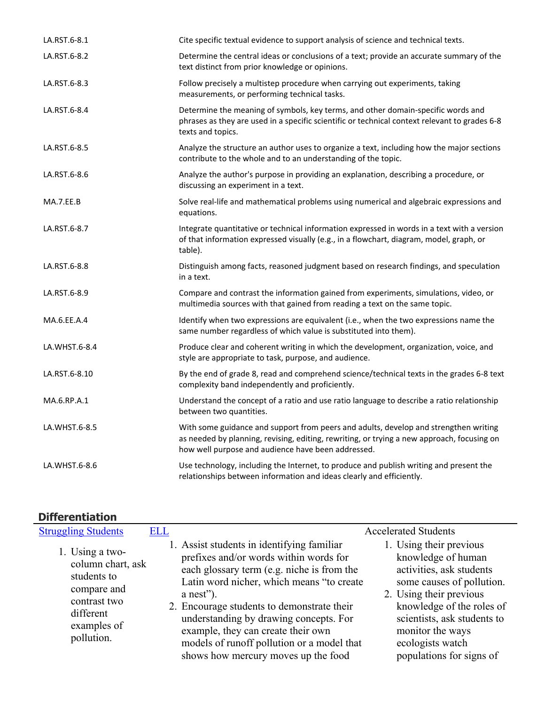| LA.RST.6-8.1  | Cite specific textual evidence to support analysis of science and technical texts.                                                                                                                                                       |
|---------------|------------------------------------------------------------------------------------------------------------------------------------------------------------------------------------------------------------------------------------------|
| LA.RST.6-8.2  | Determine the central ideas or conclusions of a text; provide an accurate summary of the<br>text distinct from prior knowledge or opinions.                                                                                              |
| LA.RST.6-8.3  | Follow precisely a multistep procedure when carrying out experiments, taking<br>measurements, or performing technical tasks.                                                                                                             |
| LA.RST.6-8.4  | Determine the meaning of symbols, key terms, and other domain-specific words and<br>phrases as they are used in a specific scientific or technical context relevant to grades 6-8<br>texts and topics.                                   |
| LA.RST.6-8.5  | Analyze the structure an author uses to organize a text, including how the major sections<br>contribute to the whole and to an understanding of the topic.                                                                               |
| LA.RST.6-8.6  | Analyze the author's purpose in providing an explanation, describing a procedure, or<br>discussing an experiment in a text.                                                                                                              |
| MA.7.EE.B     | Solve real-life and mathematical problems using numerical and algebraic expressions and<br>equations.                                                                                                                                    |
| LA.RST.6-8.7  | Integrate quantitative or technical information expressed in words in a text with a version<br>of that information expressed visually (e.g., in a flowchart, diagram, model, graph, or<br>table).                                        |
| LA.RST.6-8.8  | Distinguish among facts, reasoned judgment based on research findings, and speculation<br>in a text.                                                                                                                                     |
| LA.RST.6-8.9  | Compare and contrast the information gained from experiments, simulations, video, or<br>multimedia sources with that gained from reading a text on the same topic.                                                                       |
| MA.6.EE.A.4   | Identify when two expressions are equivalent (i.e., when the two expressions name the<br>same number regardless of which value is substituted into them).                                                                                |
| LA.WHST.6-8.4 | Produce clear and coherent writing in which the development, organization, voice, and<br>style are appropriate to task, purpose, and audience.                                                                                           |
| LA.RST.6-8.10 | By the end of grade 8, read and comprehend science/technical texts in the grades 6-8 text<br>complexity band independently and proficiently.                                                                                             |
| MA.6.RP.A.1   | Understand the concept of a ratio and use ratio language to describe a ratio relationship<br>between two quantities.                                                                                                                     |
| LA.WHST.6-8.5 | With some guidance and support from peers and adults, develop and strengthen writing<br>as needed by planning, revising, editing, rewriting, or trying a new approach, focusing on<br>how well purpose and audience have been addressed. |
| LA.WHST.6-8.6 | Use technology, including the Internet, to produce and publish writing and present the<br>relationships between information and ideas clearly and efficiently.                                                                           |

# **Differentiation**

| <b>Struggling Students</b>                                                                                                   | <b>ELL</b> |                                                                                                                                                                                                                                                                                                                                                                                                                   | <b>Accelerated Students</b>                                                                                                                                                                                                                                       |
|------------------------------------------------------------------------------------------------------------------------------|------------|-------------------------------------------------------------------------------------------------------------------------------------------------------------------------------------------------------------------------------------------------------------------------------------------------------------------------------------------------------------------------------------------------------------------|-------------------------------------------------------------------------------------------------------------------------------------------------------------------------------------------------------------------------------------------------------------------|
| 1. Using a two-<br>column chart, ask<br>students to<br>compare and<br>contrast two<br>different<br>examples of<br>pollution. |            | 1. Assist students in identifying familiar<br>prefixes and/or words within words for<br>each glossary term (e.g. niche is from the<br>Latin word nicher, which means "to create<br>$a$ nest").<br>2. Encourage students to demonstrate their<br>understanding by drawing concepts. For<br>example, they can create their own<br>models of runoff pollution or a model that<br>shows how mercury moves up the food | 1. Using their previous<br>knowledge of human<br>activities, ask students<br>some causes of pollution.<br>2. Using their previous<br>knowledge of the roles of<br>scientists, ask students to<br>monitor the ways<br>ecologists watch<br>populations for signs of |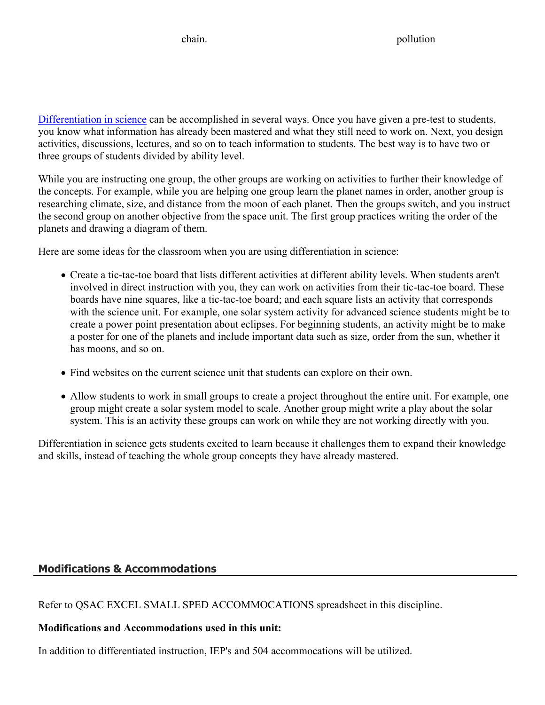[Differentiation in science](http://www.brighthubeducation.com/teaching-gifted-students/65181-differentiation-techniques-and-activities-in-the-classroom-for-gifted-students/) can be accomplished in several ways. Once you have given a pre-test to students, you know what information has already been mastered and what they still need to work on. Next, you design activities, discussions, lectures, and so on to teach information to students. The best way is to have two or three groups of students divided by ability level.

While you are instructing one group, the other groups are working on activities to further their knowledge of the concepts. For example, while you are helping one group learn the planet names in order, another group is researching climate, size, and distance from the moon of each planet. Then the groups switch, and you instruct the second group on another objective from the space unit. The first group practices writing the order of the planets and drawing a diagram of them.

Here are some ideas for the classroom when you are using differentiation in science:

- Create a tic-tac-toe board that lists different activities at different ability levels. When students aren't involved in direct instruction with you, they can work on activities from their tic-tac-toe board. These boards have nine squares, like a tic-tac-toe board; and each square lists an activity that corresponds with the science unit. For example, one solar system activity for advanced science students might be to create a power point presentation about eclipses. For beginning students, an activity might be to make a poster for one of the planets and include important data such as size, order from the sun, whether it has moons, and so on.
- Find websites on the current science unit that students can explore on their own.
- Allow students to work in small groups to create a project throughout the entire unit. For example, one group might create a solar system model to scale. Another group might write a play about the solar system. This is an activity these groups can work on while they are not working directly with you.

Differentiation in science gets students excited to learn because it challenges them to expand their knowledge and skills, instead of teaching the whole group concepts they have already mastered.

### **Modifications & Accommodations**

Refer to QSAC EXCEL SMALL SPED ACCOMMOCATIONS spreadsheet in this discipline.

### **Modifications and Accommodations used in this unit:**

In addition to differentiated instruction, IEP's and 504 accommocations will be utilized.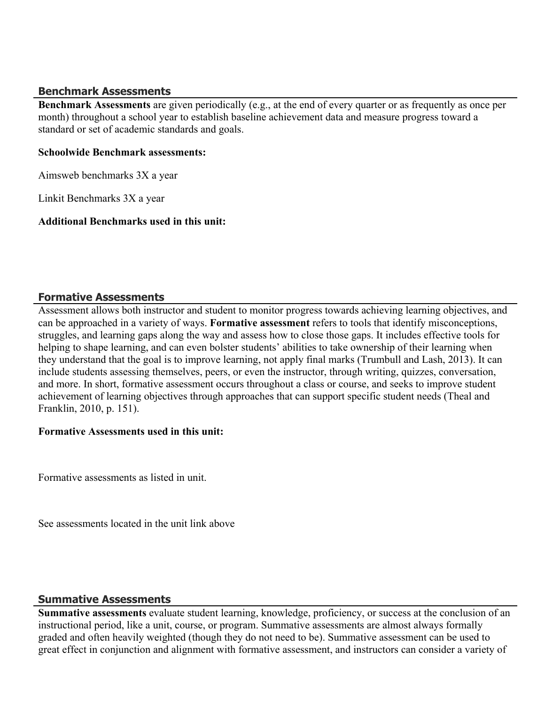#### **Benchmark Assessments**

**Benchmark Assessments** are given periodically (e.g., at the end of every quarter or as frequently as once per month) throughout a school year to establish baseline achievement data and measure progress toward a standard or set of academic standards and goals.

#### **Schoolwide Benchmark assessments:**

Aimsweb benchmarks 3X a year

Linkit Benchmarks 3X a year

#### **Additional Benchmarks used in this unit:**

#### **Formative Assessments**

Assessment allows both instructor and student to monitor progress towards achieving learning objectives, and can be approached in a variety of ways. **Formative assessment** refers to tools that identify misconceptions, struggles, and learning gaps along the way and assess how to close those gaps. It includes effective tools for helping to shape learning, and can even bolster students' abilities to take ownership of their learning when they understand that the goal is to improve learning, not apply final marks (Trumbull and Lash, 2013). It can include students assessing themselves, peers, or even the instructor, through writing, quizzes, conversation, and more. In short, formative assessment occurs throughout a class or course, and seeks to improve student achievement of learning objectives through approaches that can support specific student needs (Theal and Franklin, 2010, p. 151).

#### **Formative Assessments used in this unit:**

Formative assessments as listed in unit.

See assessments located in the unit link above

### **Summative Assessments**

**Summative assessments** evaluate student learning, knowledge, proficiency, or success at the conclusion of an instructional period, like a unit, course, or program. Summative assessments are almost always formally graded and often heavily weighted (though they do not need to be). Summative assessment can be used to great effect in conjunction and alignment with formative assessment, and instructors can consider a variety of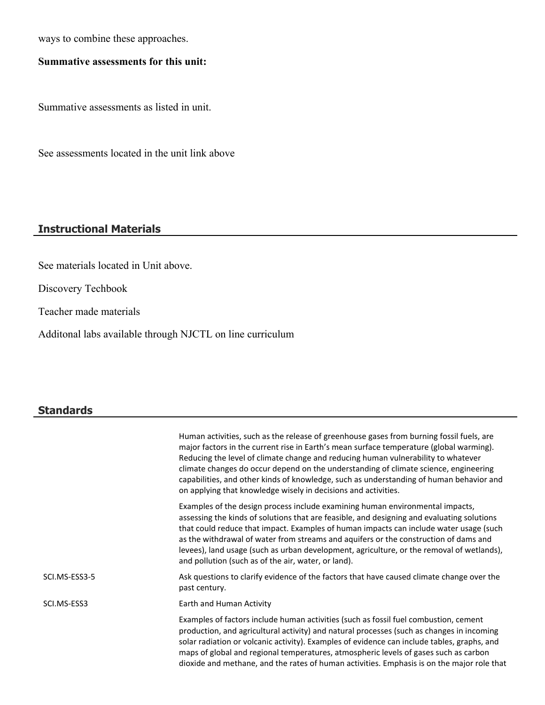ways to combine these approaches.

### **Summative assessments for this unit:**

Summative assessments as listed in unit.

See assessments located in the unit link above

### **Instructional Materials**

See materials located in Unit above.

Discovery Techbook

Teacher made materials

Additonal labs available through NJCTL on line curriculum

#### **Standards**

|               | Human activities, such as the release of greenhouse gases from burning fossil fuels, are<br>major factors in the current rise in Earth's mean surface temperature (global warming).<br>Reducing the level of climate change and reducing human vulnerability to whatever<br>climate changes do occur depend on the understanding of climate science, engineering<br>capabilities, and other kinds of knowledge, such as understanding of human behavior and                                                                                                                         |
|---------------|-------------------------------------------------------------------------------------------------------------------------------------------------------------------------------------------------------------------------------------------------------------------------------------------------------------------------------------------------------------------------------------------------------------------------------------------------------------------------------------------------------------------------------------------------------------------------------------|
|               | on applying that knowledge wisely in decisions and activities.<br>Examples of the design process include examining human environmental impacts,<br>assessing the kinds of solutions that are feasible, and designing and evaluating solutions<br>that could reduce that impact. Examples of human impacts can include water usage (such<br>as the withdrawal of water from streams and aquifers or the construction of dams and<br>levees), land usage (such as urban development, agriculture, or the removal of wetlands),<br>and pollution (such as of the air, water, or land). |
| SCI.MS-ESS3-5 | Ask questions to clarify evidence of the factors that have caused climate change over the<br>past century.                                                                                                                                                                                                                                                                                                                                                                                                                                                                          |
| SCI.MS-ESS3   | Earth and Human Activity                                                                                                                                                                                                                                                                                                                                                                                                                                                                                                                                                            |
|               | Examples of factors include human activities (such as fossil fuel combustion, cement<br>production, and agricultural activity) and natural processes (such as changes in incoming<br>solar radiation or volcanic activity). Examples of evidence can include tables, graphs, and<br>maps of global and regional temperatures, atmospheric levels of gases such as carbon<br>dioxide and methane, and the rates of human activities. Emphasis is on the major role that                                                                                                              |